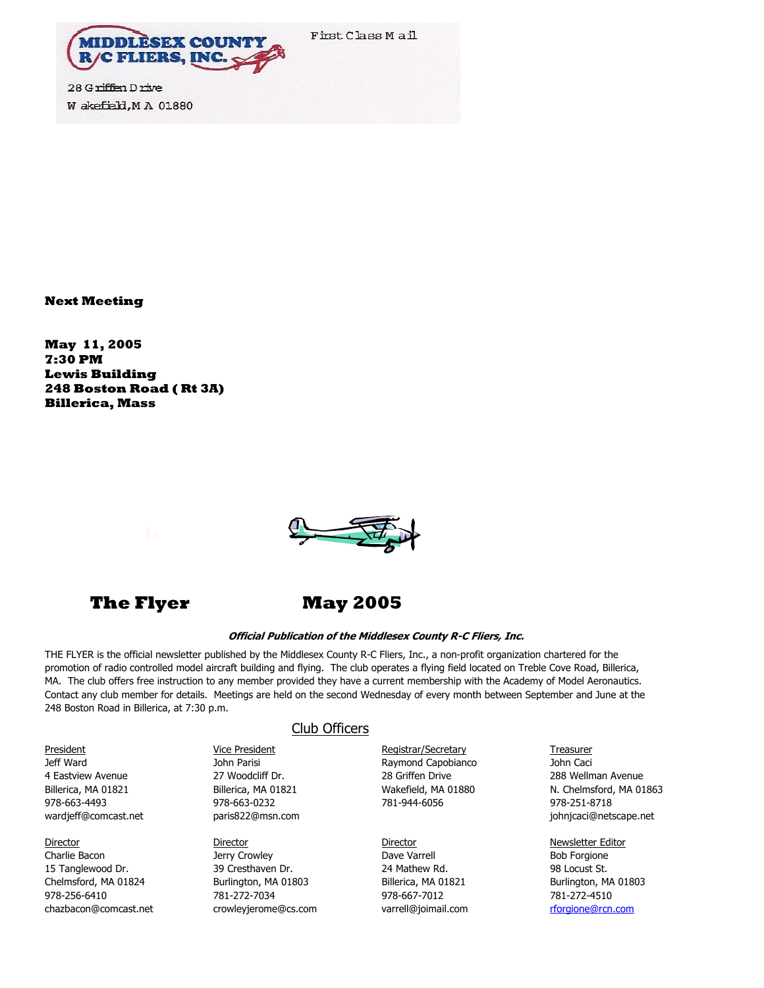



28 G riffen D rive W akefield, M A 01880

**Next Meeting** 

**May 11, 2005 7:30 PM Lewis Building 248 Boston Road ( Rt 3A) Billerica, Mass** 





### **The Flyer May 2005**

#### **Official Publication of the Middlesex County R-C Fliers, Inc.**

THE FLYER is the official newsletter published by the Middlesex County R-C Fliers, Inc., a non-profit organization chartered for the promotion of radio controlled model aircraft building and flying. The club operates a flying field located on Treble Cove Road, Billerica, MA. The club offers free instruction to any member provided they have a current membership with the Academy of Model Aeronautics. Contact any club member for details. Meetings are held on the second Wednesday of every month between September and June at the 248 Boston Road in Billerica, at 7:30 p.m.

978-663-4493 978-663-0232 781-944-6056 978-251-8718 wardjeff@comcast.net **paris822@msn.com iskup arity and paris822** paris822@msn.com is a paris822 paris822 paris822

15 Tanglewood Dr. 39 Cresthaven Dr. 24 Mathew Rd. 98 Locust St. Chelmsford, MA 01824 Burlington, MA 01803 Billerica, MA 01821 Burlington, MA 01803 978-256-6410 781-272-7034 978-667-7012 781-272-4510 chazbacon@comcast.net crowleyjerome@cs.com varrell@joimail.com rforgione@rcn.com

#### Club Officers

Charlie Bacon **Dave Varrell Bob Forgione** Dave Varrell **Dave Varrell** Bob Forgione

President Treasurer Vice President Contract Registrar/Secretary Treasurer Jeff Ward **Markov Marisi Raymond Capobianco** John Caci John Caci

**Director Director Director Director Director Director Director Newsletter Editor** 

4 Eastview Avenue 27 Woodcliff Dr. 28 Griffen Drive 288 Wellman Avenue Billerica, MA 01821 Billerica, MA 01821 Wakefield, MA 01880 N. Chelmsford, MA 01863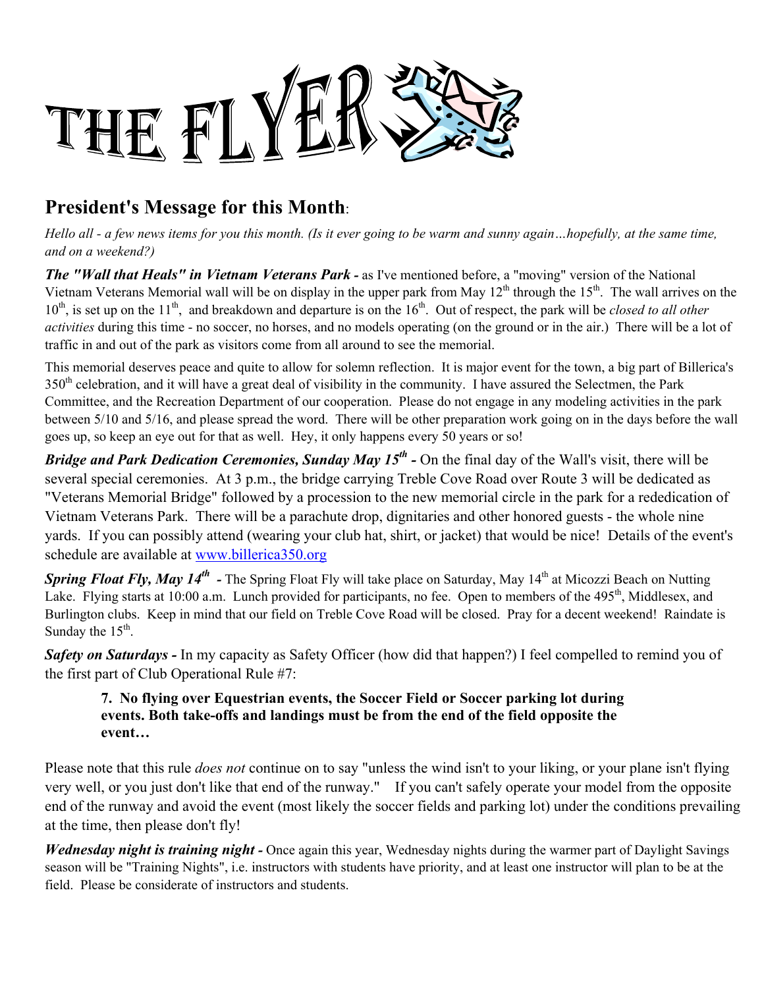

# **President's Message for this Month**:

*Hello all - a few news items for you this month. (Is it ever going to be warm and sunny again…hopefully, at the same time, and on a weekend?)* 

*The "Wall that Heals" in Vietnam Veterans Park - as I've mentioned before, a "moving" version of the National* Vietnam Veterans Memorial wall will be on display in the upper park from May  $12^{th}$  through the  $15^{th}$ . The wall arrives on the 10<sup>th</sup>, is set up on the 11<sup>th</sup>, and breakdown and departure is on the 16<sup>th</sup>. Out of respect, the park will be *closed to all other activities* during this time - no soccer, no horses, and no models operating (on the ground or in the air.) There will be a lot of traffic in and out of the park as visitors come from all around to see the memorial.

This memorial deserves peace and quite to allow for solemn reflection. It is major event for the town, a big part of Billerica's  $350<sup>th</sup>$  celebration, and it will have a great deal of visibility in the community. I have assured the Selectmen, the Park Committee, and the Recreation Department of our cooperation. Please do not engage in any modeling activities in the park between 5/10 and 5/16, and please spread the word. There will be other preparation work going on in the days before the wall goes up, so keep an eye out for that as well. Hey, it only happens every 50 years or so!

*Bridge and Park Dedication Ceremonies, Sunday May 15<sup>th</sup> - On the final day of the Wall's visit, there will be* several special ceremonies. At 3 p.m., the bridge carrying Treble Cove Road over Route 3 will be dedicated as "Veterans Memorial Bridge" followed by a procession to the new memorial circle in the park for a rededication of Vietnam Veterans Park. There will be a parachute drop, dignitaries and other honored guests - the whole nine yards. If you can possibly attend (wearing your club hat, shirt, or jacket) that would be nice! Details of the event's schedule are available at www.billerica350.org

*Spring Float Fly, May 14<sup>th</sup>* - The Spring Float Fly will take place on Saturday, May 14<sup>th</sup> at Micozzi Beach on Nutting Lake. Flying starts at 10:00 a.m. Lunch provided for participants, no fee. Open to members of the 495<sup>th</sup>, Middlesex, and Burlington clubs. Keep in mind that our field on Treble Cove Road will be closed. Pray for a decent weekend! Raindate is Sunday the  $15<sup>th</sup>$ .

*Safety on Saturdays -* In my capacity as Safety Officer (how did that happen?) I feel compelled to remind you of the first part of Club Operational Rule #7:

#### **7. No flying over Equestrian events, the Soccer Field or Soccer parking lot during events. Both take-offs and landings must be from the end of the field opposite the event…**

Please note that this rule *does not* continue on to say "unless the wind isn't to your liking, or your plane isn't flying very well, or you just don't like that end of the runway." If you can't safely operate your model from the opposite end of the runway and avoid the event (most likely the soccer fields and parking lot) under the conditions prevailing at the time, then please don't fly!

*Wednesday night is training night -* Once again this year, Wednesday nights during the warmer part of Daylight Savings season will be "Training Nights", i.e. instructors with students have priority, and at least one instructor will plan to be at the field. Please be considerate of instructors and students.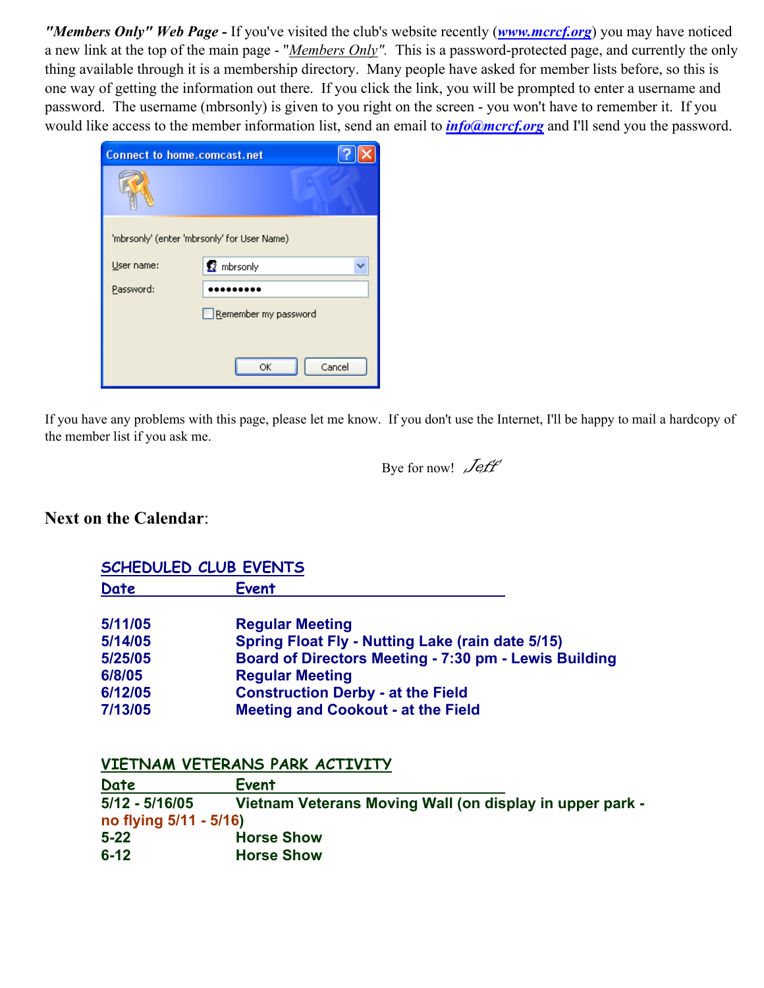*"Members Only" Web Page -* If you've visited the club's website recently (*www.mcrcf.org*) you may have noticed a new link at the top of the main page - "*Members Only".* This is a password-protected page, and currently the only thing available through it is a membership directory. Many people have asked for member lists before, so this is one way of getting the information out there. If you click the link, you will be prompted to enter a username and password. The username (mbrsonly) is given to you right on the screen - you won't have to remember it. If you would like access to the member information list, send an email to *info@mcrcf.org* and I'll send you the password.

| <b>Connect to home.comcast.net</b>          |  |  |
|---------------------------------------------|--|--|
|                                             |  |  |
| 'mbrsonly' (enter 'mbrsonly' for User Name) |  |  |
| User name:<br>$\Omega$ mbrsonly             |  |  |
| Password:                                   |  |  |
| Remember my password                        |  |  |
| Cancel<br>ОК                                |  |  |

If you have any problems with this page, please let me know. If you don't use the Internet, I'll be happy to mail a hardcopy of the member list if you ask me.

Bye for now!  $\mathcal{J}$ eff

## **Next on the Calendar**:

| SCHEDULED CLUB EVENTS |                                                         |  |
|-----------------------|---------------------------------------------------------|--|
| Date                  | <b>Event</b>                                            |  |
| 5/11/05               | <b>Regular Meeting</b>                                  |  |
| 5/14/05               | <b>Spring Float Fly - Nutting Lake (rain date 5/15)</b> |  |
| 5/25/05               | Board of Directors Meeting - 7:30 pm - Lewis Building   |  |
| 6/8/05                | <b>Regular Meeting</b>                                  |  |
| 6/12/05               | <b>Construction Derby - at the Field</b>                |  |
| 7/13/05               | <b>Meeting and Cookout - at the Field</b>               |  |

## **VIETNAM VETERANS PARK ACTIVITY**

| Date                   | Event                                                    |
|------------------------|----------------------------------------------------------|
| $5/12 - 5/16/05$       | Vietnam Veterans Moving Wall (on display in upper park - |
| no flying 5/11 - 5/16) |                                                          |
| $5 - 22$               | <b>Horse Show</b>                                        |
| $6 - 12$               | <b>Horse Show</b>                                        |